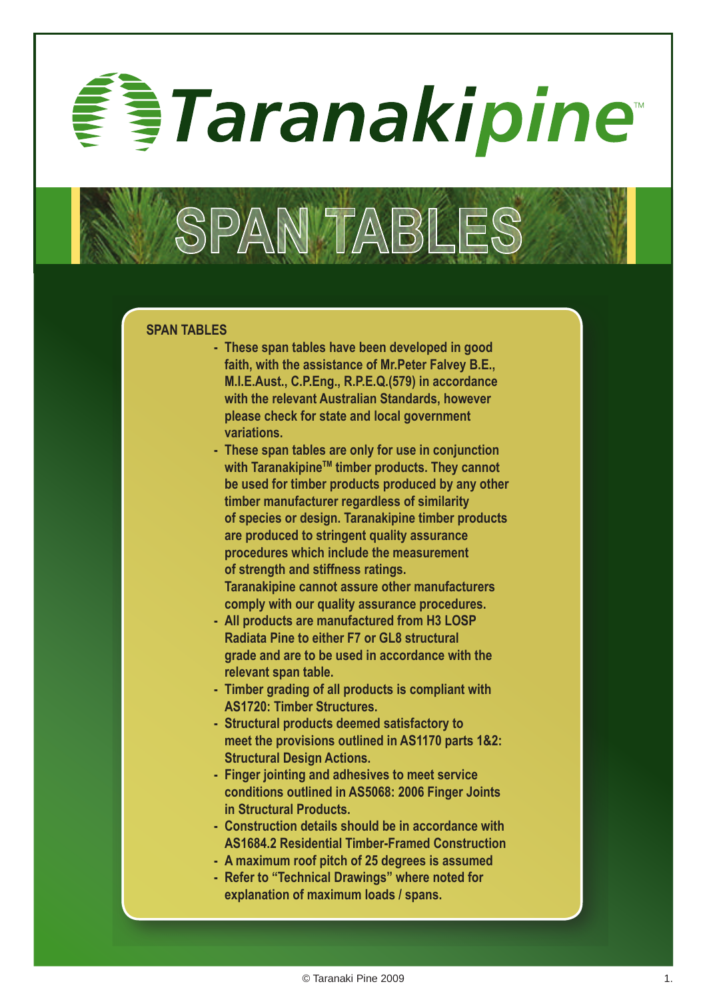*§Taranakipine* 

### **SPAN TABLES**

**- These span tables have been developed in good faith, with the assistance of Mr.Peter Falvey B.E., M.I.E.Aust., C.P.Eng., R.P.E.Q.(579) in accordance with the relevant Australian Standards, however please check for state and local government variations.**

SPAN TABLE

- **- These span tables are only for use in conjunction**  with Taranakipine<sup>™</sup> timber products. They cannot **be used for timber products produced by any other timber manufacturer regardless of similarity of species or design. Taranakipine timber products are produced to stringent quality assurance procedures which include the measurement of strength and stiffness ratings. Taranakipine cannot assure other manufacturers**
- **comply with our quality assurance procedures.**
- **- All products are manufactured from H3 LOSP Radiata Pine to either F7 or GL8 structural grade and are to be used in accordance with the relevant span table.**
- **- Timber grading of all products is compliant with AS1720: Timber Structures.**
- **- Structural products deemed satisfactory to meet the provisions outlined in AS1170 parts 1&2: Structural Design Actions.**
- **- Finger jointing and adhesives to meet service conditions outlined in AS5068: 2006 Finger Joints in Structural Products.**
- **- Construction details should be in accordance with AS1684.2 Residential Timber-Framed Construction**
- **- A maximum roof pitch of 25 degrees is assumed**
- **- Refer to "Technical Drawings" where noted for explanation of maximum loads / spans.**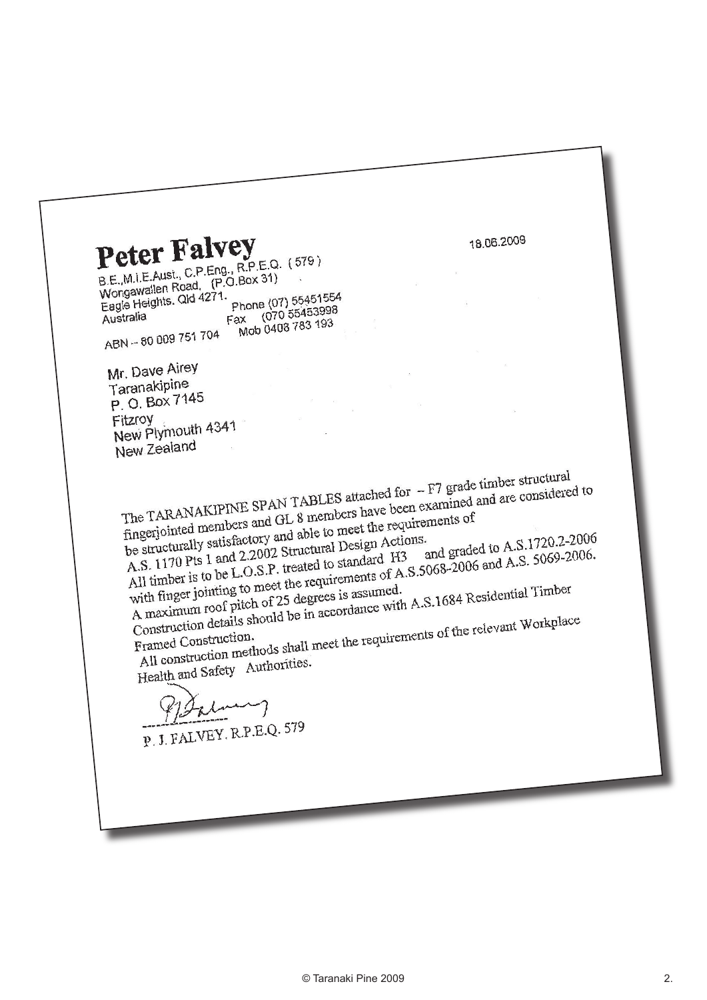18.06.2009

Peter Falvey Beter Fair<sub>C, R.P.E.Q. (579)</sub><br>B.E., M.I.E.Aust., C.P.Eng., R.P.E.Q. (579) B.E., M.I.E. Aust., C.P. Eng., N.P. 2331)<br>Wongawallen Road, (P.O. Box 31)<br>Wongawaights Old 4271.

Wongawallen Road,<br>Eagle Heights. Qld 4271. Phone (07) 55451554 Phone (07) 55453998<br>Fax: (070 55453998 Australia ax (070 55455556<br>Mob 0408 783 193

ABN-80009751704

Mr. Dave Airey Taranakipine P. O. Box 7145 Fitzroy Fitzroy<br>New Plymouth 4341 New Zealand

The TARANAKIPINE SPAN TABLES attached for -F7 grade timber structural<br>The TARANAKIPINE SPAN TABLES attached for -F7 grade timber structural<br>the requirements of The TARANAKIPINE SPAN TABLES attached for -F7 grade timber structural<br>fingerjointed members and GL 8 members have been examined and are considered to<br>fingerjointed members and GL 8 members have been examined and are consid The TARANAKIPINE SPART 12<br>fingerjointed members and GL 8 members have been examined.<br>the structurally satisfactory and able to meet the requirements of<br>be structurally satisfactory and able to meet the requirements of fingerjointed members<br>be structurally satisfactory and able to meet the requirements<br>A.S. 1170 Pts 1 and 2.2002 Structural Design Actions.<br>A.S. 1170 Pts 1 and 2.2002 Structural to standard H3 and graded to A.S.1720.2-2006<br>and graded to A.S.1720.2-2006. be structurally satisfactory<br>A.S. 1170 Pts 1 and 2.2002 Structural Design Actions.<br>A.S. 1170 Pts 1 and 2.2002 Structural Design Actions.<br>All timber is to be L.O.S.P. treated to standard H3 and graded to A.S. 5069-2006.<br>All be structurally salisfied 2.2002 Structural Design Accord<br>A.S. 1170 Pts 1 and 2.2002 Structural Design Accord<br>All timber is to be L.O.S.P. treated to standard H3<br>All timber is to be L.O.S.P. treated to standard H3

All timber is to be Economet the requirements of Atlantic Construction.<br>A maximum roof pitch of 25 degrees is assumed.<br>Construction details should be in accordance with A.S.1684 Residential Timber<br>Construction details shou All timber is to be<br>with finger jointing to meet the requirements of with<br>A maximum roof pitch of 25 degrees is assumed.<br>A maximum roof pitch of 25 degrees is assumed.

A maximum root pitch<br>Construction details should be in accordance with result of the relevant Workplace<br>Framed Construction.<br>All construction methods shall meet the requirements of the relevant Workplace Construction definition.

All construction memories.<br>Health and Safety Authorities.

P. J. FALVEY. R.P.E.Q. 579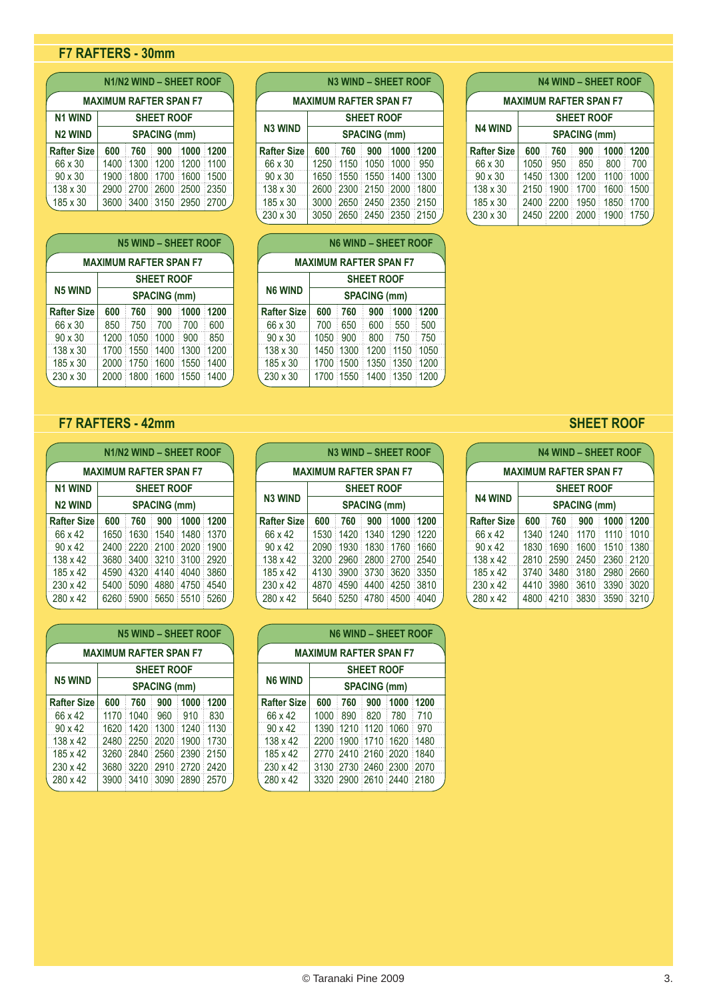# **F7 RAFTERS - 30mm**

|                                     | N1/N2 WIND - SHEET ROOF |                          |  |  |  |  |  |  |  |
|-------------------------------------|-------------------------|--------------------------|--|--|--|--|--|--|--|
| <b>MAXIMUM RAFTER SPAN F7</b>       |                         |                          |  |  |  |  |  |  |  |
| <b>N1 WIND</b><br><b>SHEET ROOF</b> |                         |                          |  |  |  |  |  |  |  |
| <b>N2 WIND</b>                      | <b>SPACING (mm)</b>     |                          |  |  |  |  |  |  |  |
| <b>Rafter Size</b>                  | 600                     | 760 900 1000 1200        |  |  |  |  |  |  |  |
| 66 x 30                             |                         | 1400 1300 1200 1200 1100 |  |  |  |  |  |  |  |
| $90 \times 30$                      |                         | 1900 1800 1700 1600 1500 |  |  |  |  |  |  |  |
| 138 x 30                            |                         | 2900 2700 2600 2500 2350 |  |  |  |  |  |  |  |
| 185 x 30                            |                         | 3600 3400 3150 2950 2700 |  |  |  |  |  |  |  |

| <b>N5 WIND - SHEET ROOF</b>   |      |                     |                     |      |      |  |  |  |
|-------------------------------|------|---------------------|---------------------|------|------|--|--|--|
| <b>MAXIMUM RAFTER SPAN F7</b> |      |                     |                     |      |      |  |  |  |
| <b>SHEET ROOF</b>             |      |                     |                     |      |      |  |  |  |
| <b>N5 WIND</b>                |      | <b>SPACING (mm)</b> |                     |      |      |  |  |  |
| <b>Rafter Size</b>            | 600  | 760                 | 900                 | 1000 | 1200 |  |  |  |
| 66 x 30                       | 850  | 750                 | 700                 | 700  | 600  |  |  |  |
| $90 \times 30$                | 1200 | 1050                | 1000                | 900  | 850  |  |  |  |
| 138 x 30                      | 1700 | 1550                | 1400                | 1300 | 1200 |  |  |  |
| 185 x 30                      | 2000 | 1750                | 1600                | 1550 | 1400 |  |  |  |
| 230 x 30                      |      |                     | 2000 1800 1600 1550 |      | 1400 |  |  |  |

# **F7 RAFTERS - 42mm**

| <b>N1/N2 WIND - SHEET ROOF</b>      |      |           |                     |      |      |  |  |  |
|-------------------------------------|------|-----------|---------------------|------|------|--|--|--|
| <b>MAXIMUM RAFTER SPAN F7</b>       |      |           |                     |      |      |  |  |  |
| <b>N1 WIND</b><br><b>SHEET ROOF</b> |      |           |                     |      |      |  |  |  |
| <b>N2 WIND</b>                      |      |           | <b>SPACING (mm)</b> |      |      |  |  |  |
| <b>Rafter Size</b>                  | 600  | 760       | 900                 | 1000 | 1200 |  |  |  |
| 66 x 42                             | 1650 |           | 1630 1540 1480      |      | 1370 |  |  |  |
| $90 \times 42$                      | 2400 | 2220      | 2100                | 2020 | 1900 |  |  |  |
| 138 x 42                            | 3680 | 3400<br>Ì | 3210                | 3100 | 2920 |  |  |  |
| 185 x 42                            | 4590 | 4320      | 4140                | 4040 | 3860 |  |  |  |
| $230 \times 42$                     | 5400 | 5090      | 4880                | 4750 | 4540 |  |  |  |
| 280 x 42                            | 6260 | 5900      | 5650                | 5510 | 5260 |  |  |  |

| <b>N5 WIND - SHEET ROOF</b>   |                     |                |                   |           |      |  |  |  |
|-------------------------------|---------------------|----------------|-------------------|-----------|------|--|--|--|
| <b>MAXIMUM RAFTER SPAN F7</b> |                     |                |                   |           |      |  |  |  |
|                               |                     |                | <b>SHEET ROOF</b> |           |      |  |  |  |
| <b>N5 WIND</b>                | <b>SPACING (mm)</b> |                |                   |           |      |  |  |  |
| <b>Rafter Size</b>            | 600                 | 760            | 900               | 1000 1200 |      |  |  |  |
| 66 x 42                       | 1170                |                | 1040 960          | ਂ 910     | 830  |  |  |  |
| $90 \times 42$                | 1620                | 1420 1300 1240 |                   |           | 1130 |  |  |  |
| 138 x 42                      | 2480                | 2250 2020      |                   | 1900<br>t | 1730 |  |  |  |
| 185 x 42                      | 3260                | 2840           | : 2560            | : 2390    | 2150 |  |  |  |
| $230 \times 42$               | 3680                | 3220           | ି 2910            | 2720 2420 |      |  |  |  |
| 280 x 42                      | 3900                | 3410 3090      |                   | 2890      | 2570 |  |  |  |

|                    |                               | <b>N3 WIND - SHEET ROOF</b> |                     |                             |  |                    |                     |     | <b>N4 WIND - SHEET</b>       |     |
|--------------------|-------------------------------|-----------------------------|---------------------|-----------------------------|--|--------------------|---------------------|-----|------------------------------|-----|
|                    | <b>MAXIMUM RAFTER SPAN F7</b> |                             |                     |                             |  |                    |                     |     | <b>MAXIMUM RAFTER SPAN F</b> |     |
| <b>SHEET ROOF</b>  |                               |                             |                     |                             |  | <b>SHEET ROOF</b>  |                     |     |                              |     |
| <b>N3 WIND</b>     |                               |                             | <b>SPACING (mm)</b> |                             |  | <b>N4 WIND</b>     | <b>SPACING (mm)</b> |     |                              |     |
| <b>Rafter Size</b> | 600                           | 760                         |                     | $\frac{1}{2}$ 900 1000 1200 |  | <b>Rafter Size</b> | 600                 | 760 | 900                          | 10  |
| 66 x 30            |                               | 1250 1150 1050 1000 950     |                     |                             |  | 66 x 30            | 1050 : 950          |     | 850                          | 80  |
| $90 \times 30$     |                               | 1650 1550 1550 1400 1300    |                     |                             |  | $90 \times 30$     |                     |     | 1450 1300 1200               | 11( |
| 138 x 30           |                               | 2600 2300 2150 2000 1800    |                     |                             |  | 138 x 30           |                     |     | 2150 1900 1700               | 160 |
| 185 x 30           |                               | 3000 2650 2450 2350 2150    |                     |                             |  | 185 x 30           |                     |     | 2400 2200 1950 18            |     |
| $230 \times 30$    |                               | 3050 2650 2450 2350 2150    |                     |                             |  | $230 \times 30$    |                     |     | 2450 2200 2000 190           |     |
|                    |                               |                             |                     |                             |  |                    |                     |     |                              |     |

| טט ג טט                       |                     |           | <b>UUUU EUUU EHUU EUUU ETUU</b> |      |      |  |  |  |
|-------------------------------|---------------------|-----------|---------------------------------|------|------|--|--|--|
|                               |                     |           |                                 |      |      |  |  |  |
| <b>N6 WIND - SHEET ROOF</b>   |                     |           |                                 |      |      |  |  |  |
| <b>MAXIMUM RAFTER SPAN F7</b> |                     |           |                                 |      |      |  |  |  |
|                               |                     |           |                                 |      |      |  |  |  |
|                               |                     |           | <b>SHEET ROOF</b>               |      |      |  |  |  |
| N6 WIND                       | <b>SPACING (mm)</b> |           |                                 |      |      |  |  |  |
| after Size                    | 600                 | 760       | 900                             | 1000 | 1200 |  |  |  |
| 66 x 30                       | 700                 | 650       | 600                             | 550  | 500  |  |  |  |
| 90 x 30                       | 1050                | 900       | 800                             | 750  | 750  |  |  |  |
| 38 x 30                       | 1450                | 1300      | 1200                            | 1150 | 1050 |  |  |  |
| 85 x 30                       | 1700                | 1500<br>Í | 1350                            | 1350 | 1200 |  |  |  |
| 230 x 30                      |                     | 1700 1550 | 1400                            | 1350 | 1200 |  |  |  |

| <b>N4 WIND - SHEET ROOF</b>   |                     |      |      |      |           |  |  |  |  |
|-------------------------------|---------------------|------|------|------|-----------|--|--|--|--|
| <b>MAXIMUM RAFTER SPAN F7</b> |                     |      |      |      |           |  |  |  |  |
| <b>SHEET ROOF</b>             |                     |      |      |      |           |  |  |  |  |
| <b>N4 WIND</b>                | <b>SPACING (mm)</b> |      |      |      |           |  |  |  |  |
| <b>Rafter Size</b>            | 600                 | 760  | 900  | 1000 | 1200      |  |  |  |  |
| 66 x 30                       | 1050                | 950  | 850  | 800  | 700       |  |  |  |  |
| $90 \times 30$                | 1450                | 1300 | 1200 | 1100 | 1000      |  |  |  |  |
| 138 x 30                      | 2150                | 1900 | 1700 | 1600 | 1500      |  |  |  |  |
| 185 x 30                      | 2400                | 2200 | 1950 | 1850 | 1700      |  |  |  |  |
| 230 x 30                      | 2450                | 2200 | 2000 |      | 1900 1750 |  |  |  |  |

| <b>MAXIMUM RAFTER SPAN F7</b> |                     |      |                   |      |      |  |  |  |  |
|-------------------------------|---------------------|------|-------------------|------|------|--|--|--|--|
|                               |                     |      | <b>SHEET ROOF</b> |      |      |  |  |  |  |
| <b>N6 WIND</b>                | <b>SPACING (mm)</b> |      |                   |      |      |  |  |  |  |
| <b>Rafter Size</b>            | 600                 | 760  | 900               | 1000 | 1200 |  |  |  |  |
| 66 x 30                       | 700                 | 650  | 600               | 550  | 500  |  |  |  |  |
| $90 \times 30$                | 1050                | 900  | 800               | 750  | 750  |  |  |  |  |
| 138 x 30                      | 1450                | 1300 | 1200              | 1150 | 1050 |  |  |  |  |
| 185 x 30                      | 1700                | 1500 | 1350              | 1350 | 1200 |  |  |  |  |
| 230 x 30                      | 1700 1550           |      | 1400              | 1350 | 1200 |  |  |  |  |

| <b>N3 WIND - SHEET ROOF</b> |                               |                          |                     |               |  |  |                    |     |     | <b>N4 WIND - SHEET</b>       |                 |
|-----------------------------|-------------------------------|--------------------------|---------------------|---------------|--|--|--------------------|-----|-----|------------------------------|-----------------|
|                             | <b>MAXIMUM RAFTER SPAN F7</b> |                          |                     |               |  |  |                    |     |     | <b>MAXIMUM RAFTER SPAN F</b> |                 |
| <b>SHEET ROOF</b>           |                               |                          | <b>SHEET ROOF</b>   |               |  |  |                    |     |     |                              |                 |
| N3 WIND                     |                               |                          | <b>SPACING (mm)</b> |               |  |  | <b>N4 WIND</b>     |     |     | <b>SPACING (mm)</b>          |                 |
| <b>Rafter Size</b>          | 600                           | 760                      |                     | 900 1000 1200 |  |  | <b>Rafter Size</b> | 600 | 760 | 900                          | 10 <sub>0</sub> |
| 66 x 42                     |                               | 1530 1420 1340 1290 1220 |                     |               |  |  | 66 x 42            |     |     | 1340 1240 1170 111           |                 |
| $90 \times 42$              |                               | 2090 1930 1830 1760 1660 |                     |               |  |  | $90 \times 42$     |     |     | 1830 1690 1600 15            |                 |
| $138 \times 42$             |                               | 3200 2960 2800 2700 2540 |                     |               |  |  | 138 x 42           |     |     | 2810 2590 2450 236           |                 |
| 185 x 42                    |                               | 4130 3900 3730 3620 3350 |                     |               |  |  | 185 x 42           |     |     | 3740 3480 3180 298           |                 |
| 230 x 42                    |                               | 4870 4590 4400 4250 3810 |                     |               |  |  | $230 \times 42$    |     |     | 4410 3980 3610 339           |                 |
| 280 x 42                    |                               | 5640 5250 4780 4500 4040 |                     |               |  |  | 280 x 42           |     |     | 4800 4210 3830 359           |                 |

|                    | <b>N6 WIND - SHEET ROOF</b>   |                                                                                                                |                     |                          |      |  |  |  |
|--------------------|-------------------------------|----------------------------------------------------------------------------------------------------------------|---------------------|--------------------------|------|--|--|--|
|                    | <b>MAXIMUM RAFTER SPAN F7</b> |                                                                                                                |                     |                          |      |  |  |  |
|                    |                               | <b>SHEET ROOF</b><br><b>SPACING (mm)</b><br>600<br>760<br>1000<br>900<br>1200<br>1000<br>890 820<br>780<br>710 |                     |                          |      |  |  |  |
| <b>N6 WIND</b>     |                               |                                                                                                                |                     |                          |      |  |  |  |
| <b>Rafter Size</b> |                               |                                                                                                                |                     |                          |      |  |  |  |
| 66 x 42            |                               |                                                                                                                |                     |                          |      |  |  |  |
| $90 \times 42$     | 1390                          |                                                                                                                |                     | 1210 1120 1060           | 970  |  |  |  |
| 138 x 42           |                               |                                                                                                                | 2200 1900 1710 1620 |                          | 1480 |  |  |  |
| 185 x 42           |                               |                                                                                                                | 2770 2410 2160 2020 |                          | 1840 |  |  |  |
| $230 \times 42$    |                               |                                                                                                                |                     | 3130 2730 2460 2300      | 2070 |  |  |  |
| 280 x 42           |                               |                                                                                                                |                     | 3320 2900 2610 2440 2180 |      |  |  |  |
|                    |                               |                                                                                                                |                     |                          |      |  |  |  |

## **SHEET ROOF**

| <b>N4 WIND - SHEET ROOF</b>   |                     |           |      |      |      |  |  |  |
|-------------------------------|---------------------|-----------|------|------|------|--|--|--|
| <b>MAXIMUM RAFTER SPAN F7</b> |                     |           |      |      |      |  |  |  |
| <b>SHEET ROOF</b>             |                     |           |      |      |      |  |  |  |
| <b>N4 WIND</b>                | <b>SPACING (mm)</b> |           |      |      |      |  |  |  |
| <b>Rafter Size</b>            | 600                 | 760       | 900  | 1000 | 1200 |  |  |  |
| 66 x 42                       | 1340                | 1240      | 1170 | 1110 | 1010 |  |  |  |
| 90 x 42                       | 1830                | 1690      | 1600 | 1510 | 1380 |  |  |  |
| 138 x 42                      | 2810                | 2590<br>Í | 2450 | 2360 | 2120 |  |  |  |
| 185 x 42                      | 3740                | 3480      | 3180 | 2980 | 2660 |  |  |  |
| 230 x 42                      | 4410                | 3980      | 3610 | 3390 | 3020 |  |  |  |
| 280 x 42                      | 4800                | 4210      | 3830 | 3590 | 3210 |  |  |  |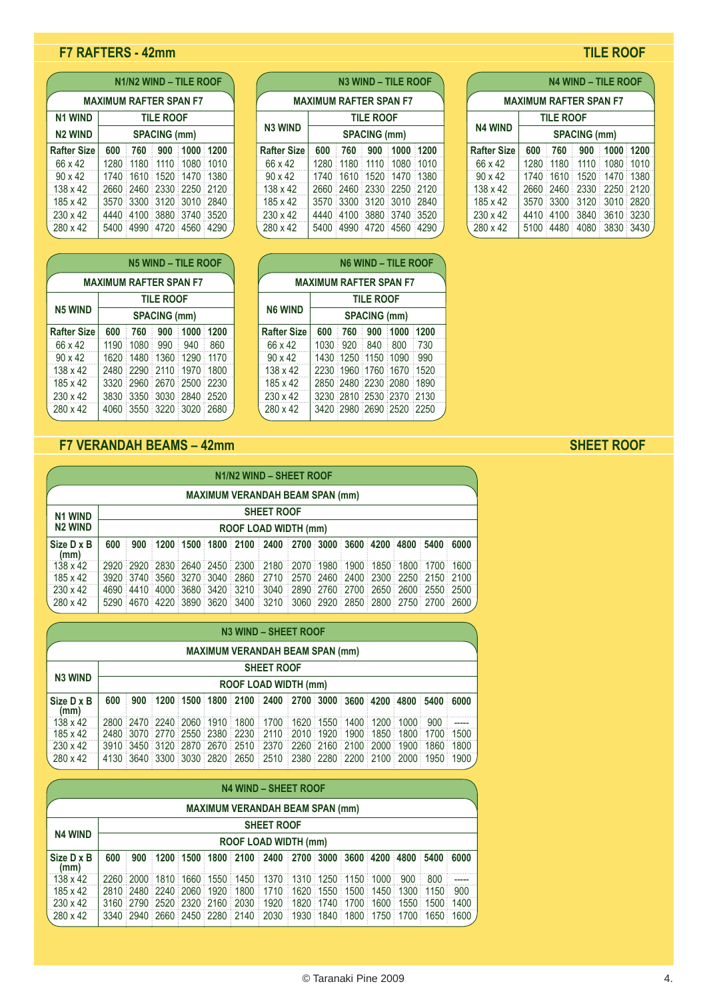## **F7 RAFTERS - 42mm**

|                    | NIINZ WIND – TILE ROOF        |  |                          |  |  |  |  |  |  |  |
|--------------------|-------------------------------|--|--------------------------|--|--|--|--|--|--|--|
|                    | <b>MAXIMUM RAFTER SPAN F7</b> |  |                          |  |  |  |  |  |  |  |
| <b>N1 WIND</b>     | <b>TILE ROOF</b>              |  |                          |  |  |  |  |  |  |  |
| <b>N2 WIND</b>     | <b>SPACING (mm)</b>           |  |                          |  |  |  |  |  |  |  |
| <b>Rafter Size</b> | 600                           |  | 760 900 1000 1200        |  |  |  |  |  |  |  |
| 66 x 42            | 1280                          |  | 1180 1110 1080 1010      |  |  |  |  |  |  |  |
| $90 \times 42$     |                               |  | 1740 1610 1520 1470 1380 |  |  |  |  |  |  |  |
| 138 x 42           |                               |  | 2660 2460 2330 2250 2120 |  |  |  |  |  |  |  |
| 185 x 42           |                               |  | 3570 3300 3120 3010 2840 |  |  |  |  |  |  |  |
| $230 \times 42$    | 4440                          |  | 4100 3880 3740 3520      |  |  |  |  |  |  |  |
| $280 \times 42$    |                               |  | 5400 4990 4720 4560 4290 |  |  |  |  |  |  |  |

**N1/N2 WIND – TILE ROOF**

|                 |                               |                     |                  | <b>N5 WIND - TILE ROOF</b> |      |  |  |  |  |  |  |  |  |  |
|-----------------|-------------------------------|---------------------|------------------|----------------------------|------|--|--|--|--|--|--|--|--|--|
|                 | <b>MAXIMUM RAFTER SPAN F7</b> |                     |                  |                            |      |  |  |  |  |  |  |  |  |  |
|                 |                               |                     | <b>TILE ROOF</b> |                            |      |  |  |  |  |  |  |  |  |  |
| <b>N5 WIND</b>  |                               | <b>SPACING (mm)</b> |                  |                            |      |  |  |  |  |  |  |  |  |  |
| Rafter Size     | 600                           | 760                 | 900              | 1000                       | 1200 |  |  |  |  |  |  |  |  |  |
| 66 x 42         | 1190                          | 1080                | 990              | 940                        | 860  |  |  |  |  |  |  |  |  |  |
| $90 \times 42$  | 1620                          | 1480                | 1360             | 1290                       | 1170 |  |  |  |  |  |  |  |  |  |
| 138 x 42        | 2480                          | 2290                | 2110             | 1970                       | 1800 |  |  |  |  |  |  |  |  |  |
| 185 x 42        | 3320                          | 2960                | 2670             | 2500                       | 2230 |  |  |  |  |  |  |  |  |  |
| $230 \times 42$ | 3830                          | 3350                | 3030             | 2840                       | 2520 |  |  |  |  |  |  |  |  |  |
| 280 x 42        | 4060                          | 3550                | 3220             | 3020                       | 2680 |  |  |  |  |  |  |  |  |  |

# **F7 VERANDAH BEAMS – 42mm** SHEET ROOF

|                    |                                        |                                                                                                                   |  |  |  |  | N1/N2 WIND - SHEET ROOF                                               |  |  |  |  |  |  |  |  |
|--------------------|----------------------------------------|-------------------------------------------------------------------------------------------------------------------|--|--|--|--|-----------------------------------------------------------------------|--|--|--|--|--|--|--|--|
|                    | <b>MAXIMUM VERANDAH BEAM SPAN (mm)</b> |                                                                                                                   |  |  |  |  |                                                                       |  |  |  |  |  |  |  |  |
| <b>N1 WIND</b>     | <b>SHEET ROOF</b>                      |                                                                                                                   |  |  |  |  |                                                                       |  |  |  |  |  |  |  |  |
| <b>N2 WIND</b>     |                                        | ROOF LOAD WIDTH (mm)                                                                                              |  |  |  |  |                                                                       |  |  |  |  |  |  |  |  |
| Size D x B<br>(mm) | 600                                    | $900 \pm 1200 \pm 1500 \pm 1800 \pm 2100 \pm 2400 \pm 2700 \pm 3000 \pm 3600 \pm 4200 \pm 4800 \pm 5400 \pm 6000$ |  |  |  |  |                                                                       |  |  |  |  |  |  |  |  |
| $138 \times 42$    |                                        |                                                                                                                   |  |  |  |  | 2920 2920 2830 2640 2450 2300 2180 2070 1980 1900 1850 1800 1700 1600 |  |  |  |  |  |  |  |  |
| 185 x 42           |                                        |                                                                                                                   |  |  |  |  | 3920 3740 3560 3270 3040 2860 2710 2570 2460 2400 2300 2250 2150 2100 |  |  |  |  |  |  |  |  |
| $230 \times 42$    |                                        |                                                                                                                   |  |  |  |  | 4690 4410 4000 3680 3420 3210 3040 2890 2760 2700 2650 2600 2550 2500 |  |  |  |  |  |  |  |  |
| 280 x 42           |                                        |                                                                                                                   |  |  |  |  | 5290 4670 4220 3890 3620 3400 3210 3060 2920 2850 2800 2750 2700 2600 |  |  |  |  |  |  |  |  |

|                    |                                        |                                                                                         |  |  |  |  | N3 WIND - SHEET ROOF                                                  |  |  |  |  |  |  |  |  |
|--------------------|----------------------------------------|-----------------------------------------------------------------------------------------|--|--|--|--|-----------------------------------------------------------------------|--|--|--|--|--|--|--|--|
|                    | <b>MAXIMUM VERANDAH BEAM SPAN (mm)</b> |                                                                                         |  |  |  |  |                                                                       |  |  |  |  |  |  |  |  |
|                    | <b>SHEET ROOF</b><br><b>N3 WIND</b>    |                                                                                         |  |  |  |  |                                                                       |  |  |  |  |  |  |  |  |
|                    |                                        | ROOF LOAD WIDTH (mm)                                                                    |  |  |  |  |                                                                       |  |  |  |  |  |  |  |  |
| Size D x B<br>(mm) | 600                                    | 900   1200   1500   1800   2100   2400   2700   3000   3600   4200   4800   5400   6000 |  |  |  |  |                                                                       |  |  |  |  |  |  |  |  |
| $138 \times 42$    |                                        |                                                                                         |  |  |  |  | 2800 2470 2240 2060 1910 1800 1700 1620 1550 1400 1200 1000 900       |  |  |  |  |  |  |  |  |
| 185 x 42           |                                        |                                                                                         |  |  |  |  | 2480 3070 2770 2550 2380 2230 2110 2010 1920 1900 1850 1800 1700 1500 |  |  |  |  |  |  |  |  |
| 230 x 42           |                                        |                                                                                         |  |  |  |  | 3910 3450 3120 2870 2670 2510 2370 2260 2160 2100 2000 1900 1860 1800 |  |  |  |  |  |  |  |  |
| 280 x 42           |                                        |                                                                                         |  |  |  |  | 4130 3640 3300 3030 2820 2650 2510 2380 2280 2200 2100 2000 1950 1900 |  |  |  |  |  |  |  |  |

|                    |                                        |                                                                                                                   |  |  |  |  | <b>N4 WIND - SHEET ROOF</b>                                           |  |  |  |  |  |  |  |  |
|--------------------|----------------------------------------|-------------------------------------------------------------------------------------------------------------------|--|--|--|--|-----------------------------------------------------------------------|--|--|--|--|--|--|--|--|
|                    | <b>MAXIMUM VERANDAH BEAM SPAN (mm)</b> |                                                                                                                   |  |  |  |  |                                                                       |  |  |  |  |  |  |  |  |
|                    | <b>SHEET ROOF</b><br><b>N4 WIND</b>    |                                                                                                                   |  |  |  |  |                                                                       |  |  |  |  |  |  |  |  |
|                    |                                        | <b>ROOF LOAD WIDTH (mm)</b>                                                                                       |  |  |  |  |                                                                       |  |  |  |  |  |  |  |  |
| Size D x B<br>(mm) | 600                                    | $900 \pm 1200 \pm 1500 \pm 1800 \pm 2100 \pm 2400 \pm 2700 \pm 3000 \pm 3600 \pm 4200 \pm 4800 \pm 5400 \pm 6000$ |  |  |  |  |                                                                       |  |  |  |  |  |  |  |  |
| 138 x 42           |                                        |                                                                                                                   |  |  |  |  | 2260 2000 1810 1660 1550 1450 1370 1310 1250 1150 1000 900 800        |  |  |  |  |  |  |  |  |
| 185 x 42           |                                        |                                                                                                                   |  |  |  |  | 2810 2480 2240 2060 1920 1800 1710 1620 1550 1500 1450 1300 1150 900  |  |  |  |  |  |  |  |  |
| 230 x 42           |                                        |                                                                                                                   |  |  |  |  | 3160 2790 2520 2320 2160 2030 1920 1820 1740 1700 1600 1550 1500 1400 |  |  |  |  |  |  |  |  |
| 280 x 42           |                                        |                                                                                                                   |  |  |  |  | 3340 2940 2660 2450 2280 2140 2030 1930 1840 1800 1750 1700 1650 1600 |  |  |  |  |  |  |  |  |

# **TILE ROOF**

|                    |                               |                          | <b>N3 WIND - TILE ROOF</b> |  |                    |                               |                  |                     | <b>N4 WIND - TILE ROOF</b>       |  |
|--------------------|-------------------------------|--------------------------|----------------------------|--|--------------------|-------------------------------|------------------|---------------------|----------------------------------|--|
|                    | <b>MAXIMUM RAFTER SPAN F7</b> |                          |                            |  |                    | <b>MAXIMUM RAFTER SPAN F7</b> |                  |                     |                                  |  |
|                    |                               |                          | <b>TILE ROOF</b>           |  |                    |                               | <b>TILE ROOF</b> |                     |                                  |  |
| <b>N3 WIND</b>     |                               |                          | <b>SPACING (mm)</b>        |  | <b>N4 WIND</b>     |                               |                  | <b>SPACING (mm)</b> |                                  |  |
| <b>Rafter Size</b> | 600                           | 760                      | 900:1000:1200              |  | <b>Rafter Size</b> | 600                           | 760              | 900                 | 1000:1200                        |  |
| 66 x 42            |                               | 1280 1180 1110 1080 1010 |                            |  | 66 x 42            |                               |                  |                     | 1280 1180 1110 1080 1010         |  |
| $90 \times 42$     |                               | 1740 1610 1520 1470 1380 |                            |  | $90 \times 42$     |                               |                  |                     | 1740 1610 1520 1470 1380         |  |
| 138 x 42           |                               | 2660 2460 2330 2250 2120 |                            |  | 138 x 42           |                               |                  |                     | 2660   2460   2330   2250   2120 |  |
| 185 x 42           |                               | 3570 3300 3120 3010 2840 |                            |  | 185 x 42           |                               |                  |                     | 3570 3300 3120 3010 2820         |  |
| 230 x 42           |                               | 4440 4100 3880 3740 3520 |                            |  | $230 \times 42$    |                               |                  |                     | 4410 4100 3840 3610 3230         |  |
| 280 x 42           |                               | 5400 4990 4720 4560 4290 |                            |  | 280 x 42           |                               |                  |                     | 5100 4480 4080 3830 3430         |  |

|                               |                                 |  |  | <b>N6 WIND - TILE ROOF</b> |       |  |  |  |  |  |  |  |  |
|-------------------------------|---------------------------------|--|--|----------------------------|-------|--|--|--|--|--|--|--|--|
| <b>MAXIMUM RAFTER SPAN F7</b> |                                 |  |  |                            |       |  |  |  |  |  |  |  |  |
| <b>TILE ROOF</b>              |                                 |  |  |                            |       |  |  |  |  |  |  |  |  |
| <b>N6 WIND</b>                | <b>SPACING (mm)</b>             |  |  |                            |       |  |  |  |  |  |  |  |  |
| <b>Rafter Size</b>            | 600<br>⊧ 900 ÷1000 ÷1200<br>760 |  |  |                            |       |  |  |  |  |  |  |  |  |
| 66 x 42                       |                                 |  |  | 1030:920:840:800:730       |       |  |  |  |  |  |  |  |  |
| $90 \times 42$                |                                 |  |  | 1430 1250 1150 1090        | : 990 |  |  |  |  |  |  |  |  |
| 138 x 42                      |                                 |  |  | 2230 1960 1760 1670        | 1520  |  |  |  |  |  |  |  |  |
| 185 x 42                      |                                 |  |  | 2850 2480 2230 2080        | 1890  |  |  |  |  |  |  |  |  |
| 230 x 42                      |                                 |  |  | 3230 2810 2530 2370 2130   |       |  |  |  |  |  |  |  |  |
| 280 x 42                      |                                 |  |  | 3420 2980 2690 2520 2250   |       |  |  |  |  |  |  |  |  |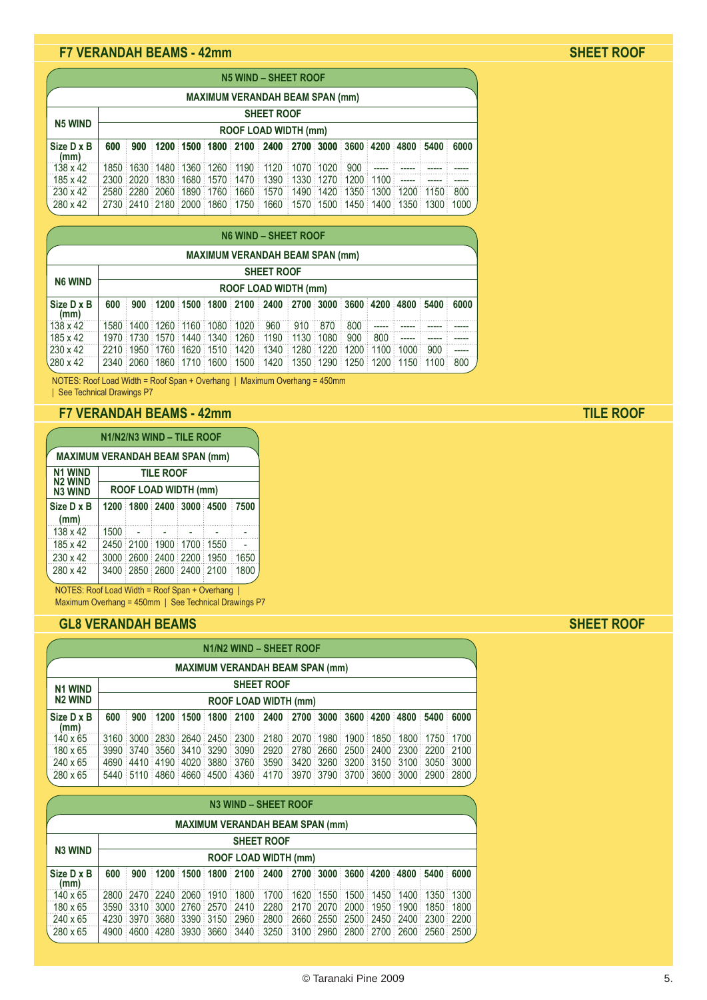## **F7 VERANDAH BEAMS - 42mm SHEET ROOF**

|                    |                                        |                             |  |  |  |  | N5 WIND - SHEET ROOF                                                                    |  |  |  |  |  |  |  |  |
|--------------------|----------------------------------------|-----------------------------|--|--|--|--|-----------------------------------------------------------------------------------------|--|--|--|--|--|--|--|--|
|                    | <b>MAXIMUM VERANDAH BEAM SPAN (mm)</b> |                             |  |  |  |  |                                                                                         |  |  |  |  |  |  |  |  |
|                    | <b>SHEET ROOF</b><br><b>N5 WIND</b>    |                             |  |  |  |  |                                                                                         |  |  |  |  |  |  |  |  |
|                    |                                        | <b>ROOF LOAD WIDTH (mm)</b> |  |  |  |  |                                                                                         |  |  |  |  |  |  |  |  |
| Size D x B<br>(mm) | 600                                    |                             |  |  |  |  | 900   1200   1500   1800   2100   2400   2700   3000   3600   4200   4800   5400   6000 |  |  |  |  |  |  |  |  |
| 138 x 42           |                                        |                             |  |  |  |  | 1850 1630 1480 1360 1260 1190 1120 1070 1020 900 ----- ----- ----- -----                |  |  |  |  |  |  |  |  |
| 185 x 42           |                                        |                             |  |  |  |  | 2300 2020 1830 1680 1570 1470 1390 1330 1270 1200 1100 ----- ----- -----                |  |  |  |  |  |  |  |  |
| 230 x 42           |                                        |                             |  |  |  |  | 2580 2280 2060 1890 1760 1660 1570 1490 1420 1350 1300 1200 1150 800                    |  |  |  |  |  |  |  |  |
| 280 x 42           |                                        |                             |  |  |  |  | 2730 2410 2180 2000 1860 1750 1660 1570 1500 1450 1400 1350 1300 1000                   |  |  |  |  |  |  |  |  |

|                    |                                        |                      |  |  |  |  | N6 WIND - SHEET ROOF                                                                                              |  |  |  |  |  |  |     |  |
|--------------------|----------------------------------------|----------------------|--|--|--|--|-------------------------------------------------------------------------------------------------------------------|--|--|--|--|--|--|-----|--|
|                    | <b>MAXIMUM VERANDAH BEAM SPAN (mm)</b> |                      |  |  |  |  |                                                                                                                   |  |  |  |  |  |  |     |  |
|                    | <b>SHEET ROOF</b>                      |                      |  |  |  |  |                                                                                                                   |  |  |  |  |  |  |     |  |
| <b>N6 WIND</b>     |                                        | ROOF LOAD WIDTH (mm) |  |  |  |  |                                                                                                                   |  |  |  |  |  |  |     |  |
| Size D x B<br>(mm) | 600                                    |                      |  |  |  |  | $900 \pm 1200 \pm 1500 \pm 1800 \pm 2100 \pm 2400 \pm 2700 \pm 3000 \pm 3600 \pm 4200 \pm 4800 \pm 5400 \pm 6000$ |  |  |  |  |  |  |     |  |
| 138 x 42           |                                        |                      |  |  |  |  | 1580 1400 1260 1160 1080 1020 960 910 870 800                                                                     |  |  |  |  |  |  |     |  |
| 185 x 42           |                                        |                      |  |  |  |  | 1970 1730 1570 1440 1340 1260 1190 1130 1080 900 800                                                              |  |  |  |  |  |  |     |  |
| $230 \times 42$    |                                        |                      |  |  |  |  | 2210   1950   1760   1620   1510   1420   1340   1280   1220   1200   1100   1000   900                           |  |  |  |  |  |  |     |  |
| 280 x 42           |                                        |                      |  |  |  |  | $2340:2060:1860:1710:1600:1500:1420:1350:1290:1250:1200:1150:1100.$                                               |  |  |  |  |  |  | 800 |  |

NOTES: Roof Load Width = Roof Span + Overhang | Maximum Overhang = 450mm | See Technical Drawings P7

### **F7 VERANDAH BEAMS - 42mm**

|                                                      |                             | N1/N2/N3 WIND - TILE ROOF |  |  |  |      |  |  |  |  |  |  |  |  |
|------------------------------------------------------|-----------------------------|---------------------------|--|--|--|------|--|--|--|--|--|--|--|--|
| <b>MAXIMUM VERANDAH BEAM SPAN (mm)</b>               |                             |                           |  |  |  |      |  |  |  |  |  |  |  |  |
| <b>N1 WIND</b><br><b>TILE ROOF</b><br><b>N2 WIND</b> |                             |                           |  |  |  |      |  |  |  |  |  |  |  |  |
| <b>N3 WIND</b>                                       | <b>ROOF LOAD WIDTH (mm)</b> |                           |  |  |  |      |  |  |  |  |  |  |  |  |
| Size D x B<br>(mm)                                   |                             | 1200 1800 2400 3000 4500  |  |  |  | 7500 |  |  |  |  |  |  |  |  |
| 138 x 42                                             | 1500                        |                           |  |  |  |      |  |  |  |  |  |  |  |  |
| 185 x 42                                             |                             | 2450 2100 1900 1700 1550  |  |  |  |      |  |  |  |  |  |  |  |  |
| $230 \times 42$                                      |                             | 3000 2600 2400 2200 1950  |  |  |  | 1650 |  |  |  |  |  |  |  |  |
| 280 x 42                                             |                             | 3400 2850 2600 2400 2100  |  |  |  | 1800 |  |  |  |  |  |  |  |  |

NOTES: Roof Load Width = Roof Span + Overhang | Maximum Overhang = 450mm | See Technical Drawings P7

## **GL8 VERANDAH BEAMS SHEET ROOF**

|                    |                                        |                                                                                                                   |  |  |  |  | N1/N2 WIND - SHEET ROOF                                               |  |  |  |  |  |  |  |  |
|--------------------|----------------------------------------|-------------------------------------------------------------------------------------------------------------------|--|--|--|--|-----------------------------------------------------------------------|--|--|--|--|--|--|--|--|
|                    | <b>MAXIMUM VERANDAH BEAM SPAN (mm)</b> |                                                                                                                   |  |  |  |  |                                                                       |  |  |  |  |  |  |  |  |
| <b>N1 WIND</b>     | <b>SHEET ROOF</b>                      |                                                                                                                   |  |  |  |  |                                                                       |  |  |  |  |  |  |  |  |
| <b>N2 WIND</b>     |                                        | <b>ROOF LOAD WIDTH (mm)</b>                                                                                       |  |  |  |  |                                                                       |  |  |  |  |  |  |  |  |
| Size D x B<br>(mm) | 600                                    | $900 \pm 1200 \pm 1500 \pm 1800 \pm 2100 \pm 2400 \pm 2700 \pm 3000 \pm 3600 \pm 4200 \pm 4800 \pm 5400 \pm 6000$ |  |  |  |  |                                                                       |  |  |  |  |  |  |  |  |
| $140 \times 65$    |                                        |                                                                                                                   |  |  |  |  | 3160 3000 2830 2640 2450 2300 2180 2070 1980 1900 1850 1800 1750 1700 |  |  |  |  |  |  |  |  |
| 180 x 65           |                                        |                                                                                                                   |  |  |  |  | 3990 3740 3560 3410 3290 3090 2920 2780 2660 2500 2400 2300 2200 2100 |  |  |  |  |  |  |  |  |
| 240 x 65           |                                        |                                                                                                                   |  |  |  |  | 4690 4410 4190 4020 3880 3760 3590 3420 3260 3200 3150 3100 3050 3000 |  |  |  |  |  |  |  |  |
| 280 x 65           |                                        |                                                                                                                   |  |  |  |  | 5440 5110 4860 4660 4500 4360 4170 3970 3790 3700 3600 3000 2900 2800 |  |  |  |  |  |  |  |  |

|                    |                                        |                                                                                         |  |  |  | N3 WIND - SHEET ROOF                                                  |  |  |  |  |  |  |  |  |  |
|--------------------|----------------------------------------|-----------------------------------------------------------------------------------------|--|--|--|-----------------------------------------------------------------------|--|--|--|--|--|--|--|--|--|
|                    | <b>MAXIMUM VERANDAH BEAM SPAN (mm)</b> |                                                                                         |  |  |  |                                                                       |  |  |  |  |  |  |  |  |  |
|                    | <b>SHEET ROOF</b><br><b>N3 WIND</b>    |                                                                                         |  |  |  |                                                                       |  |  |  |  |  |  |  |  |  |
|                    |                                        | <b>ROOF LOAD WIDTH (mm)</b>                                                             |  |  |  |                                                                       |  |  |  |  |  |  |  |  |  |
| Size D x B<br>(mm) | 600                                    | 900   1200   1500   1800   2100   2400   2700   3000   3600   4200   4800   5400   6000 |  |  |  |                                                                       |  |  |  |  |  |  |  |  |  |
| 140 x 65           |                                        |                                                                                         |  |  |  | 2800 2470 2240 2060 1910 1800 1700 1620 1550 1500 1450 1400 1350 1300 |  |  |  |  |  |  |  |  |  |
| 180 x 65           |                                        |                                                                                         |  |  |  | 3590 3310 3000 2760 2570 2410 2280 2170 2070 2000 1950 1900 1850 1800 |  |  |  |  |  |  |  |  |  |
| 240 x 65           |                                        |                                                                                         |  |  |  | 4230 3970 3680 3390 3150 2960 2800 2660 2550 2500 2450 2400 2300 2200 |  |  |  |  |  |  |  |  |  |
| 280 x 65           |                                        |                                                                                         |  |  |  | 4900 4600 4280 3930 3660 3440 3250 3100 2960 2800 2700 2600 2560 2500 |  |  |  |  |  |  |  |  |  |

**TILE ROOF**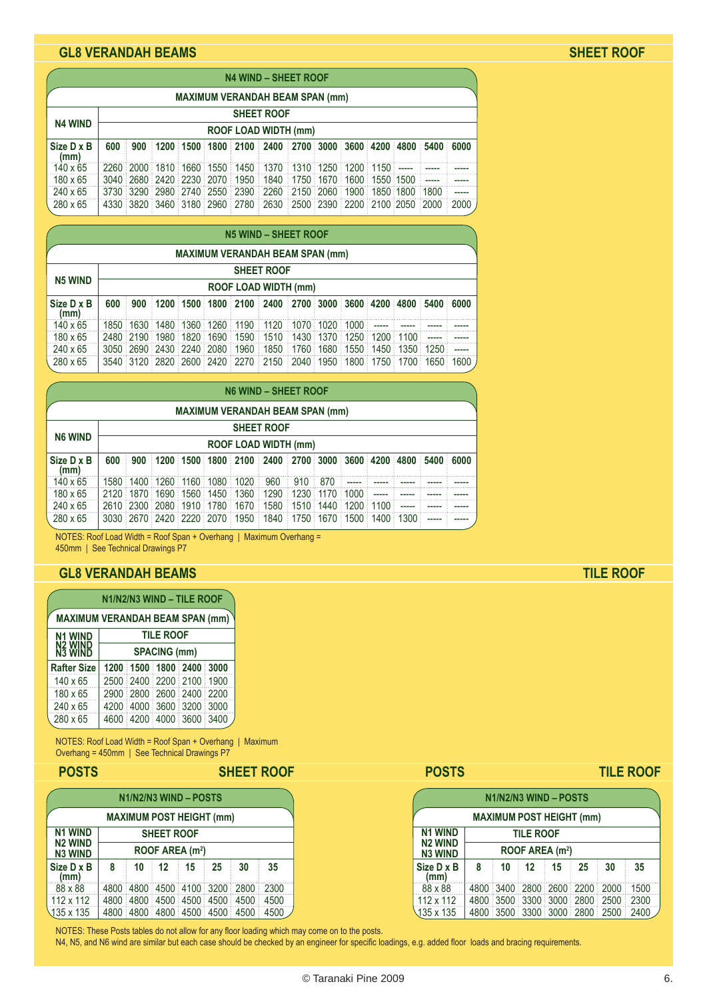### **GL8 VERANDAH BEAMS SHEET ROOF**

|                    |                                        |                             |  |  |  |  | <b>N4 WIND - SHEET ROOF</b>                                                                                        |  |  |  |  |  |  |                                                                                                                      |  |
|--------------------|----------------------------------------|-----------------------------|--|--|--|--|--------------------------------------------------------------------------------------------------------------------|--|--|--|--|--|--|----------------------------------------------------------------------------------------------------------------------|--|
|                    | <b>MAXIMUM VERANDAH BEAM SPAN (mm)</b> |                             |  |  |  |  |                                                                                                                    |  |  |  |  |  |  |                                                                                                                      |  |
|                    | <b>SHEET ROOF</b><br><b>N4 WIND</b>    |                             |  |  |  |  |                                                                                                                    |  |  |  |  |  |  |                                                                                                                      |  |
|                    |                                        | <b>ROOF LOAD WIDTH (mm)</b> |  |  |  |  |                                                                                                                    |  |  |  |  |  |  |                                                                                                                      |  |
| Size D x B<br>(mm) | 600                                    |                             |  |  |  |  | 900   1200   1500   1800   2100   2400   2700   3000   3600   4200   4800   5400   6000                            |  |  |  |  |  |  |                                                                                                                      |  |
| $140 \times 65$    |                                        |                             |  |  |  |  | 2260 2000 1810 1660 1550 1450 1370 1310 1250 1200 1150 ----- -----                                                 |  |  |  |  |  |  | <u> 1999 - 1999 - 1999 - 1999 - 1999 - 1999 - 1999 - 1999 - 1999 - 1999 - 1999 - 1999 - 1999 - 1999 - 1999 - 199</u> |  |
| 180 x 65           |                                        |                             |  |  |  |  | 3040 2680 2420 2230 2070 1950 1840 1750 1670 1600 1550 1500 -----                                                  |  |  |  |  |  |  | $\sim$                                                                                                               |  |
| 240 x 65           |                                        |                             |  |  |  |  | $3730 \pm 3290 \pm 2980 \pm 2740 \pm 2550 \pm 2390 \pm 2260 \pm 2150 \pm 2060 \pm 1900 \pm 1850 \pm 1800 \pm 1800$ |  |  |  |  |  |  | $\overline{a}$                                                                                                       |  |
| 280 x 65           |                                        |                             |  |  |  |  | 4330 3820 3460 3180 2960 2780 2630 2500 2390 2200 2100 2050 2000 2000                                              |  |  |  |  |  |  |                                                                                                                      |  |

|                                        | N5 WIND - SHEET ROOF        |  |  |  |  |                                                                                                                                               |  |  |  |  |  |  |  |                                                                       |
|----------------------------------------|-----------------------------|--|--|--|--|-----------------------------------------------------------------------------------------------------------------------------------------------|--|--|--|--|--|--|--|-----------------------------------------------------------------------|
| <b>MAXIMUM VERANDAH BEAM SPAN (mm)</b> |                             |  |  |  |  |                                                                                                                                               |  |  |  |  |  |  |  |                                                                       |
| <b>SHEET ROOF</b>                      |                             |  |  |  |  |                                                                                                                                               |  |  |  |  |  |  |  |                                                                       |
| <b>N5 WIND</b>                         | <b>ROOF LOAD WIDTH (mm)</b> |  |  |  |  |                                                                                                                                               |  |  |  |  |  |  |  |                                                                       |
| Size D x B<br>(mm)                     | 600                         |  |  |  |  | $\pm 900$ $\pm 1200$ $\pm 1500$ $\pm 1800$ $\pm 2100$ $\pm 2400$ $\pm 2700$ $\pm 3000$ $\pm 3600$ $\pm 4200$ $\pm 4800$ $\pm 5400$ $\pm 6000$ |  |  |  |  |  |  |  |                                                                       |
| $140 \times 65$                        |                             |  |  |  |  | 1850 1630 1480 1360 1260 1190 1120 1070 1020 1000 ----- -----                                                                                 |  |  |  |  |  |  |  |                                                                       |
| 180 x 65                               |                             |  |  |  |  | 2480 2190 1980 1820 1690 1590 1510 1430 1370 1250 1200 1100 -----                                                                             |  |  |  |  |  |  |  |                                                                       |
| 240 x 65                               |                             |  |  |  |  | 3050 2690 2430 2240 2080 1960 1850 1760 1680 1550 1450 1350 1250 ----                                                                         |  |  |  |  |  |  |  |                                                                       |
| 280 x 65                               |                             |  |  |  |  |                                                                                                                                               |  |  |  |  |  |  |  | 3540 3120 2820 2600 2420 2270 2150 2040 1950 1800 1750 1700 1650 1600 |

|                                        | <b>N6 WIND - SHEET ROOF</b> |                      |  |  |  |  |                                                                                         |  |  |  |         |  |  |  |
|----------------------------------------|-----------------------------|----------------------|--|--|--|--|-----------------------------------------------------------------------------------------|--|--|--|---------|--|--|--|
| <b>MAXIMUM VERANDAH BEAM SPAN (mm)</b> |                             |                      |  |  |  |  |                                                                                         |  |  |  |         |  |  |  |
|                                        | <b>SHEET ROOF</b>           |                      |  |  |  |  |                                                                                         |  |  |  |         |  |  |  |
| <b>N6 WIND</b>                         |                             | ROOF LOAD WIDTH (mm) |  |  |  |  |                                                                                         |  |  |  |         |  |  |  |
| Size D x B<br>(mm)                     | 600                         |                      |  |  |  |  | 900   1200   1500   1800   2100   2400   2700   3000   3600   4200   4800   5400   6000 |  |  |  |         |  |  |  |
| $140 \times 65$                        |                             |                      |  |  |  |  | 1580 1400 1260 1160 1080 1020 960 910 870                                               |  |  |  |         |  |  |  |
| 180 x 65                               |                             |                      |  |  |  |  | 2120 1870 1690 1560 1450 1360 1290 1230 1170 1000                                       |  |  |  | المستشف |  |  |  |
| 240 x 65                               |                             |                      |  |  |  |  | 2610 2300 2080 1910 1780 1670 1580 1510 1440 1200 1100 ----                             |  |  |  |         |  |  |  |
| $280 \times 65$                        |                             |                      |  |  |  |  | 3030 2670 2420 2220 2070 1950 1840 1750 1670 1500 1400 1300                             |  |  |  |         |  |  |  |

NOTES: Roof Load Width = Roof Span + Overhang | Maximum Overhang = 450mm | See Technical Drawings P7

### **GL8 VERANDAH BEAMS TILE ROOF**

| N1/N2/N3 WIND - TILE ROOF                                |  |  |  |                                                                                                                                          |  |  |  |  |  |  |  |
|----------------------------------------------------------|--|--|--|------------------------------------------------------------------------------------------------------------------------------------------|--|--|--|--|--|--|--|
| <b>MAXIMUM VERANDAH BEAM SPAN (mm)</b>                   |  |  |  |                                                                                                                                          |  |  |  |  |  |  |  |
| <b>TILE ROOF</b><br><b>N1 WIND</b><br>N2 WIND<br>N3 WIND |  |  |  |                                                                                                                                          |  |  |  |  |  |  |  |
| <b>SPACING (mm)</b>                                      |  |  |  |                                                                                                                                          |  |  |  |  |  |  |  |
|                                                          |  |  |  |                                                                                                                                          |  |  |  |  |  |  |  |
|                                                          |  |  |  |                                                                                                                                          |  |  |  |  |  |  |  |
|                                                          |  |  |  |                                                                                                                                          |  |  |  |  |  |  |  |
|                                                          |  |  |  |                                                                                                                                          |  |  |  |  |  |  |  |
|                                                          |  |  |  |                                                                                                                                          |  |  |  |  |  |  |  |
|                                                          |  |  |  | 1200 1500 1800 2400 3000<br>2500 2400 2200 2100 1900<br>2900 2800 2600 2400 2200<br>4200 4000 3600 3200 3000<br>4600 4200 4000 3600 3400 |  |  |  |  |  |  |  |

NOTES: Roof Load Width = Roof Span + Overhang | Maximum Overhang = 450mm | See Technical Drawings P7

| <b>POSTS</b>                        |                       | <b>SHEET ROOF</b> |                             |    |                |                                    | <b>POSTS</b>                    |                                  |   |    |    |                             |    | <b>TILE ROOF</b>                   |      |
|-------------------------------------|-----------------------|-------------------|-----------------------------|----|----------------|------------------------------------|---------------------------------|----------------------------------|---|----|----|-----------------------------|----|------------------------------------|------|
|                                     | N1/N2/N3 WIND - POSTS |                   |                             |    |                |                                    |                                 | N1/N2/N3 WIND - POSTS            |   |    |    |                             |    |                                    |      |
| <b>MAXIMUM POST HEIGHT (mm)</b>     |                       |                   |                             |    |                |                                    | <b>MAXIMUM POST HEIGHT (mm)</b> |                                  |   |    |    |                             |    |                                    |      |
| <b>N1 WIND</b><br><b>SHEET ROOF</b> |                       |                   |                             |    | <b>N1 WIND</b> |                                    | <b>TILE ROOF</b>                |                                  |   |    |    |                             |    |                                    |      |
| <b>N2 WIND</b><br><b>N3 WIND</b>    |                       |                   | ROOF AREA (m <sup>2</sup> ) |    |                |                                    |                                 | <b>N2 WIND</b><br><b>N3 WIND</b> |   |    |    | ROOF AREA (m <sup>2</sup> ) |    |                                    |      |
| $Size$ $D \times B$<br>(mm)         | 8                     | 10                | 12                          | 15 | 25             | 30                                 | 35                              | Size D x B<br>(mm)               | 8 | 10 | 12 | 15                          | 25 | 30                                 | 35   |
| 88 x 88                             |                       |                   |                             |    |                | 4800 4800 4500 4100 3200 2800      | 2300                            | 88 x 88                          |   |    |    |                             |    | 4800 3400 2800 2600 2200 2000      | 1500 |
| $112 \times 112$                    |                       |                   |                             |    |                | 4800 4800 4500 4500 4500 4500 4500 |                                 | $112 \times 112$                 |   |    |    |                             |    | 4800 3500 3300 3000 2800 2500 2300 |      |
| 135 x 135                           |                       |                   |                             |    |                | 4800 4800 4800 4500 4500 4500 4500 |                                 | 135 x 135                        |   |    |    |                             |    | 4800 3500 3300 3000 2800 2500 2400 |      |

NOTES: These Posts tables do not allow for any floor loading which may come on to the posts.

N4, N5, and N6 wind are similar but each case should be checked by an engineer for specific loadings, e.g. added floor loads and bracing requirements.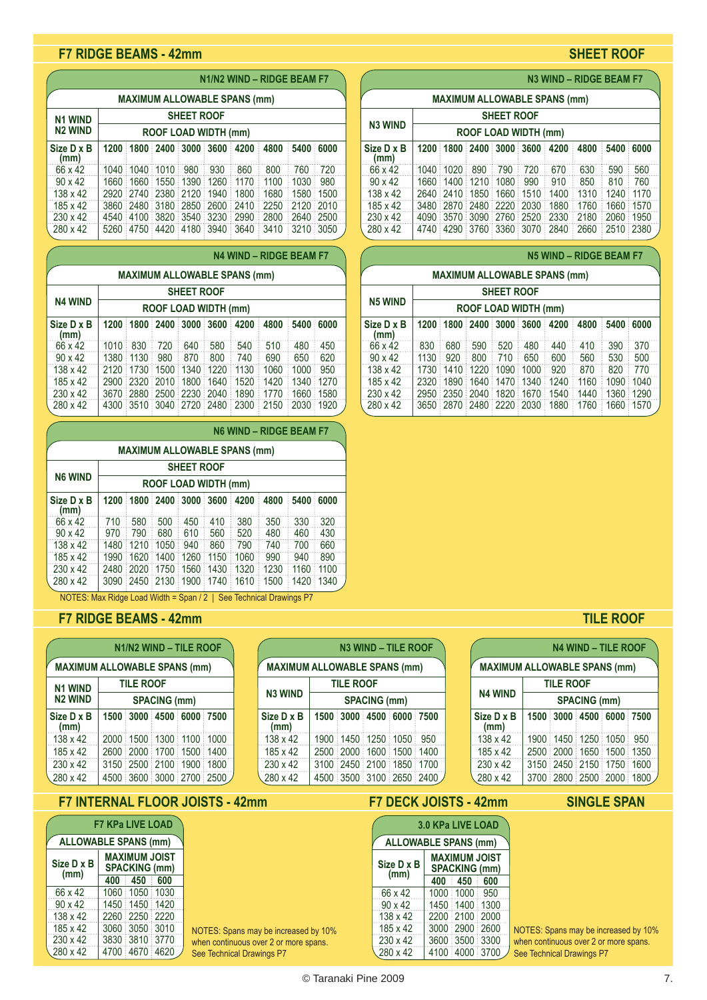### **F7 RIDGE BEAMS - 42mm SHEET ROOF**

### **Size D x B 1200 1800 2400 3000 3600 4200 4800 5400 6000 (mm)** 66 x 42 1040 1040 1010 980 930 860 800 760 720 90 x 42 1660 1660 1550 1390 1260 1170 1100 1030 980 138 x 42 2920 2740 2380 2120 1940 1800 1680 1580 1500 185 x 42 3860 2480 3180 2850 2600 2410 2250 2120 2010 230 x 42 4540 4100 3820 3540 3230 2990 2800 2640 2500 5260 4750 4420 4180 3940 3640 **N1/N2 WIND – RIDGE BEAM F7 MAXIMUM ALLOWABLE SPANS (mm) SHEET ROOF ROOF LOAD WIDTH (mm) N1 WIND N2 WIND**

|                    |                                     |                             |                          |           |            |      | <b>N4 WIND - RIDGE BEAM F7</b> |           |        |  |  |  |  |
|--------------------|-------------------------------------|-----------------------------|--------------------------|-----------|------------|------|--------------------------------|-----------|--------|--|--|--|--|
|                    | <b>MAXIMUM ALLOWABLE SPANS (mm)</b> |                             |                          |           |            |      |                                |           |        |  |  |  |  |
| <b>SHEET ROOF</b>  |                                     |                             |                          |           |            |      |                                |           |        |  |  |  |  |
| <b>N4 WIND</b>     |                                     | <b>ROOF LOAD WIDTH (mm)</b> |                          |           |            |      |                                |           |        |  |  |  |  |
| Size D x B<br>(mm) |                                     |                             | 1200 1800 2400 3000 3600 |           |            | 4200 | 4800                           | 5400<br>÷ | 6000   |  |  |  |  |
| 66 x 42            | 1010                                | 830                         | 720                      | 640       | 580        | 540  | 510                            | 480       | 450    |  |  |  |  |
| $90 \times 42$     |                                     | 1380 1130                   | 980                      | 870       | 800        | 740  | 690                            | 650       | 620    |  |  |  |  |
| 138 x 42           | 2120                                | 1730                        | 1500                     | 1340      | 1220       | 1130 | 1060                           | 1000      | 950    |  |  |  |  |
| 185 x 42           | 2900                                | : 2320                      | 2010                     | 1800<br>÷ | 1640<br>ŧ. | 1520 | 1420                           | 1340      | 1270   |  |  |  |  |
| $230 \times 42$    |                                     | 3670 2880                   | $2500$ 2230 2040         |           |            | 1890 | 1770                           | 1660      | ਂ 1580 |  |  |  |  |
| 280 x 42           |                                     |                             | 4300 3510 3040 2720 2480 |           |            | 2300 | 2150                           | 2030      | 1920   |  |  |  |  |

|                                               | N6 WIND - RIDGE BEAM F7 |           |                          |           |           |      |      |      |      |  |  |  |
|-----------------------------------------------|-------------------------|-----------|--------------------------|-----------|-----------|------|------|------|------|--|--|--|
| <b>MAXIMUM ALLOWABLE SPANS (mm)</b>           |                         |           |                          |           |           |      |      |      |      |  |  |  |
| <b>SHEET ROOF</b>                             |                         |           |                          |           |           |      |      |      |      |  |  |  |
| <b>N6 WIND</b><br><b>ROOF LOAD WIDTH (mm)</b> |                         |           |                          |           |           |      |      |      |      |  |  |  |
| Size D x B<br>(mm)                            |                         |           | 1200 1800 2400 3000 3600 |           |           | 4200 | 4800 | 5400 | 6000 |  |  |  |
| 66 x 42                                       | 710                     | 580       | 500                      | 450       | 410       | 380  | 350  | 330  | 320  |  |  |  |
| $90 \times 42$                                | 970                     | 790       | 680                      | 610       | 560       | 520  | 480  | 460  | 430  |  |  |  |
| $138 \times 42$                               | 1480                    | 1210      | 1050                     | 940       | 860       | 790  | 740  | 700  | 660  |  |  |  |
| 185 x 42                                      | 1990                    | 1620      | 1400                     | 1260<br>÷ | 1150      | 1060 | 990  | 940  | 890  |  |  |  |
| $230 \times 42$                               |                         | 2480 2020 | 1750:1560                |           | 1430<br>ŧ | 1320 | 1230 | 1160 | 1100 |  |  |  |
| 280 x 42                                      |                         |           | 3090 2450 2130 1900      |           | 1740      | 1610 | 1500 | 1420 | 1340 |  |  |  |

NOTES: Max Ridge Load Width = Span / 2 | See Technical Drawings P7

## **F7 RIDGE BEAMS - 42mm TILE ROOF**

| N1/N2 WIND - TILE ROOF                |  |  |  |                          |  |  |  |  |  |  |  |
|---------------------------------------|--|--|--|--------------------------|--|--|--|--|--|--|--|
| <b>MAXIMUM ALLOWABLE SPANS (mm)</b>   |  |  |  |                          |  |  |  |  |  |  |  |
| <b>TILE ROOF</b><br><b>N1 WIND</b>    |  |  |  |                          |  |  |  |  |  |  |  |
| <b>N2 WIND</b><br><b>SPACING (mm)</b> |  |  |  |                          |  |  |  |  |  |  |  |
| Size D x B<br>(mm)                    |  |  |  | 1500 3000 4500 6000 7500 |  |  |  |  |  |  |  |
| 138 x 42                              |  |  |  | 2000 1500 1300 1100 1000 |  |  |  |  |  |  |  |
| 185 x 42                              |  |  |  | 2600 2000 1700 1500 1400 |  |  |  |  |  |  |  |
| 230 x 42                              |  |  |  | 3150 2500 2100 1900 1800 |  |  |  |  |  |  |  |
| 280 x 42                              |  |  |  | 4500 3600 3000 2700 2500 |  |  |  |  |  |  |  |

# **F7 INTERNAL FLOOR JOISTS - 42mm SINGLE SPAN**

| <b>F7 KPa LIVE LOAD</b>                                            |      |                |      |  |  |  |  |  |  |  |  |
|--------------------------------------------------------------------|------|----------------|------|--|--|--|--|--|--|--|--|
| <b>ALLOWABLE SPANS (mm)</b>                                        |      |                |      |  |  |  |  |  |  |  |  |
| <b>MAXIMUM JOIST</b><br>Size D x B<br><b>SPACKING (mm)</b><br>(mm) |      |                |      |  |  |  |  |  |  |  |  |
|                                                                    | 400  | 450            | 600  |  |  |  |  |  |  |  |  |
| 66 x 42                                                            |      | 1060 1050 1030 |      |  |  |  |  |  |  |  |  |
| 90 x 42                                                            | 1450 | 1450 1420      |      |  |  |  |  |  |  |  |  |
| 138 x 42                                                           | 2260 | 2250           | 2220 |  |  |  |  |  |  |  |  |
| 185 x 42                                                           | 3060 | 3050           | 3010 |  |  |  |  |  |  |  |  |
| 230 x 42                                                           | 3830 | 3810           | 3770 |  |  |  |  |  |  |  |  |
| 280 x 42                                                           | 4700 | 4670           | 4620 |  |  |  |  |  |  |  |  |

| <b>N3 WIND - TILE ROOF</b><br><b>MAXIMUM ALLOWABLE SPANS (mm)</b> |                     |                          |  |  |     |  |  |  |  |  |  |
|-------------------------------------------------------------------|---------------------|--------------------------|--|--|-----|--|--|--|--|--|--|
| <b>TILE ROOF</b>                                                  |                     |                          |  |  |     |  |  |  |  |  |  |
| <b>N3 WIND</b>                                                    | <b>SPACING (mm)</b> |                          |  |  |     |  |  |  |  |  |  |
| Size D x B<br>(mm)                                                |                     | 1500 3000 4500 6000 7500 |  |  |     |  |  |  |  |  |  |
| 138 x 42                                                          |                     | 1900 1450 1250 1050      |  |  | 950 |  |  |  |  |  |  |
| 185 x 42                                                          |                     | 2500 2000 1600 1500 1400 |  |  |     |  |  |  |  |  |  |
| $230 \times 42$                                                   |                     | 3100 2450 2100 1850 1700 |  |  |     |  |  |  |  |  |  |
| 280 x 42                                                          |                     | 4500 3500 3100 2650 2400 |  |  |     |  |  |  |  |  |  |

NOTES: Spans may be increased by 10% when continuous over 2 or more spans. See Technical Drawings P7

**N3 WIND – RIDGE BEAM F7**

| <b>MAXIMUM ALLOWABLE SPANS (mm)</b> |                      |                                                          |  |     |                                         |                               |      |                |     |  |  |  |  |
|-------------------------------------|----------------------|----------------------------------------------------------|--|-----|-----------------------------------------|-------------------------------|------|----------------|-----|--|--|--|--|
|                                     | <b>SHEET ROOF</b>    |                                                          |  |     |                                         |                               |      |                |     |  |  |  |  |
| <b>N3 WIND</b>                      | ROOF LOAD WIDTH (mm) |                                                          |  |     |                                         |                               |      |                |     |  |  |  |  |
| Size D x B<br>(mm)                  |                      | 1200 1800 2400 3000 3600<br>4200<br>4800<br>6000<br>5400 |  |     |                                         |                               |      |                |     |  |  |  |  |
| 66 x 42                             |                      | 1040 1020 890                                            |  | 790 | 720                                     | 670                           | 630  | 590            | 560 |  |  |  |  |
| $90 \times 42$                      |                      | 1660 1400 1210 1080 990                                  |  |     |                                         | 910                           | 850  | 810            | 760 |  |  |  |  |
| 138 x 42                            |                      |                                                          |  |     | 2640   2410   1850   1660   1510   1400 |                               | 1310 | 1240 1170      |     |  |  |  |  |
| 185 x 42                            |                      |                                                          |  |     | 3480 2870 2480 2220 2030 1880           |                               | 1760 | 1660 1570      |     |  |  |  |  |
| $230 \times 42$                     |                      |                                                          |  |     | 4090 3570 3090 2760 2520 2330           | ÷                             | 2180 | 1950 1950 ≗    |     |  |  |  |  |
| 280 x 42                            |                      |                                                          |  |     |                                         | 4740 4290 3760 3360 3070 2840 |      | 2660 2510 2380 |     |  |  |  |  |

| <b>N5 WIND - RIDGE BEAM F7</b>                                     |      |      |                          |                |      |      |      |      |           |  |                    |
|--------------------------------------------------------------------|------|------|--------------------------|----------------|------|------|------|------|-----------|--|--------------------|
| <b>MAXIMUM ALLOWABLE SPANS (mm)</b>                                |      |      |                          |                |      |      |      |      |           |  |                    |
| <b>SHEET ROOF</b><br><b>N5 WIND</b><br><b>ROOF LOAD WIDTH (mm)</b> |      |      |                          |                |      |      |      |      |           |  |                    |
|                                                                    |      |      |                          |                |      |      |      |      |           |  | Size D x B<br>(mm) |
| 66 x 42                                                            | 830  | 680  | 590                      | 520            | 480  | 440  | 410  | 390  | 370       |  |                    |
| $90 \times 42$                                                     | 1130 | 920  | 800                      | 710            | 650  | 600  | 560  | 530  | 500       |  |                    |
| $138 \times 42$                                                    | 1730 | 1410 | ÷                        | 1220 1090<br>÷ | 1000 | 920  | 870  | 820  | 770       |  |                    |
| 185 x 42                                                           |      |      | 2320 1890 1640 1470 1340 |                |      | 1240 | 1160 | 1090 | 1040<br>÷ |  |                    |
| $230 \times 42$                                                    | 2950 |      | 2350 2040 1820 1670      |                |      | 1540 | 1440 | 1360 | 1290<br>÷ |  |                    |
| 280 x 42                                                           | 3650 |      | 2870 2480 2220 2030      |                |      | 1880 | 1760 | 1660 | 1570      |  |                    |

| <b>N4 WIND - TILE ROOF</b>            |  |                     |  |                          |      |  |  |  |  |  |  |
|---------------------------------------|--|---------------------|--|--------------------------|------|--|--|--|--|--|--|
| <b>MAXIMUM ALLOWABLE SPANS (mm)</b>   |  |                     |  |                          |      |  |  |  |  |  |  |
| <b>TILE ROOF</b>                      |  |                     |  |                          |      |  |  |  |  |  |  |
| <b>N4 WIND</b><br><b>SPACING (mm)</b> |  |                     |  |                          |      |  |  |  |  |  |  |
| Size D x B<br>(mm)                    |  |                     |  | 1500 3000 4500 6000 7500 |      |  |  |  |  |  |  |
| 138 x 42                              |  | 1900 1450 1250 1050 |  |                          | 950  |  |  |  |  |  |  |
| 185 x 42                              |  | 2500 2000 1650 1500 |  |                          | 1350 |  |  |  |  |  |  |
| $230 \times 42$                       |  | 3150 2450 2150 1750 |  |                          | 1600 |  |  |  |  |  |  |
| 280 x 42                              |  |                     |  | 3700 2800 2500 2000 1800 |      |  |  |  |  |  |  |

### **F7 DECK JOISTS - 42mm**

| 3.0 KPa LIVE LOAD           |                                              |      |      |  |  |  |  |  |  |
|-----------------------------|----------------------------------------------|------|------|--|--|--|--|--|--|
| <b>ALLOWABLE SPANS (mm)</b> |                                              |      |      |  |  |  |  |  |  |
| Size D x B<br>(mm)          | <b>MAXIMUM JOIST</b><br><b>SPACKING (mm)</b> |      |      |  |  |  |  |  |  |
|                             | 400                                          | 450  | 600  |  |  |  |  |  |  |
| 66 x 42                     | 1000                                         | 1000 | 950  |  |  |  |  |  |  |
| 90 x 42                     | 1450                                         | 1400 | 1300 |  |  |  |  |  |  |
| 138 x 42                    | 2200                                         | 2100 | 2000 |  |  |  |  |  |  |
| 185 x 42                    | 3000                                         | 2900 | 2600 |  |  |  |  |  |  |
| 230 x 42                    | 3600                                         | 3500 | 3300 |  |  |  |  |  |  |
| 280 x 42                    | 4100                                         | 4000 | 3700 |  |  |  |  |  |  |

NOTES: Spans may be increased by 10% when continuous over 2 or more spans. See Technical Drawings P7